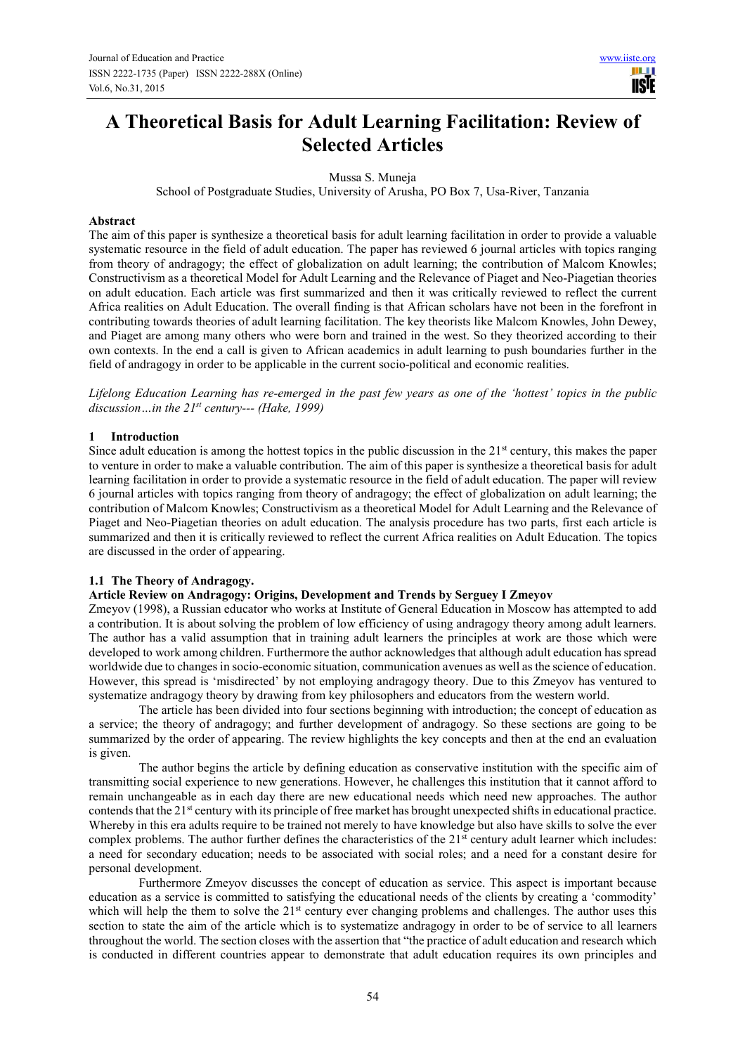# **A Theoretical Basis for Adult Learning Facilitation: Review of Selected Articles**

Mussa S. Muneja

School of Postgraduate Studies, University of Arusha, PO Box 7, Usa-River, Tanzania

## **Abstract**

The aim of this paper is synthesize a theoretical basis for adult learning facilitation in order to provide a valuable systematic resource in the field of adult education. The paper has reviewed 6 journal articles with topics ranging from theory of andragogy; the effect of globalization on adult learning; the contribution of Malcom Knowles; Constructivism as a theoretical Model for Adult Learning and the Relevance of Piaget and Neo-Piagetian theories on adult education. Each article was first summarized and then it was critically reviewed to reflect the current Africa realities on Adult Education. The overall finding is that African scholars have not been in the forefront in contributing towards theories of adult learning facilitation. The key theorists like Malcom Knowles, John Dewey, and Piaget are among many others who were born and trained in the west. So they theorized according to their own contexts. In the end a call is given to African academics in adult learning to push boundaries further in the field of andragogy in order to be applicable in the current socio-political and economic realities.

*Lifelong Education Learning has re-emerged in the past few years as one of the 'hottest' topics in the public discussion…in the 21st century--- (Hake, 1999)* 

# **1 Introduction**

Since adult education is among the hottest topics in the public discussion in the  $21<sup>st</sup>$  century, this makes the paper to venture in order to make a valuable contribution. The aim of this paper is synthesize a theoretical basis for adult learning facilitation in order to provide a systematic resource in the field of adult education. The paper will review 6 journal articles with topics ranging from theory of andragogy; the effect of globalization on adult learning; the contribution of Malcom Knowles; Constructivism as a theoretical Model for Adult Learning and the Relevance of Piaget and Neo-Piagetian theories on adult education. The analysis procedure has two parts, first each article is summarized and then it is critically reviewed to reflect the current Africa realities on Adult Education. The topics are discussed in the order of appearing.

# **1.1 The Theory of Andragogy.**

# **Article Review on Andragogy: Origins, Development and Trends by Serguey I Zmeyov**

Zmeyov (1998), a Russian educator who works at Institute of General Education in Moscow has attempted to add a contribution. It is about solving the problem of low efficiency of using andragogy theory among adult learners. The author has a valid assumption that in training adult learners the principles at work are those which were developed to work among children. Furthermore the author acknowledges that although adult education has spread worldwide due to changes in socio-economic situation, communication avenues as well as the science of education. However, this spread is 'misdirected' by not employing andragogy theory. Due to this Zmeyov has ventured to systematize andragogy theory by drawing from key philosophers and educators from the western world.

The article has been divided into four sections beginning with introduction; the concept of education as a service; the theory of andragogy; and further development of andragogy. So these sections are going to be summarized by the order of appearing. The review highlights the key concepts and then at the end an evaluation is given.

The author begins the article by defining education as conservative institution with the specific aim of transmitting social experience to new generations. However, he challenges this institution that it cannot afford to remain unchangeable as in each day there are new educational needs which need new approaches. The author contends that the 21st century with its principle of free market has brought unexpected shifts in educational practice. Whereby in this era adults require to be trained not merely to have knowledge but also have skills to solve the ever complex problems. The author further defines the characteristics of the  $21<sup>st</sup>$  century adult learner which includes: a need for secondary education; needs to be associated with social roles; and a need for a constant desire for personal development.

Furthermore Zmeyov discusses the concept of education as service. This aspect is important because education as a service is committed to satisfying the educational needs of the clients by creating a 'commodity' which will help the them to solve the 21<sup>st</sup> century ever changing problems and challenges. The author uses this section to state the aim of the article which is to systematize andragogy in order to be of service to all learners throughout the world. The section closes with the assertion that "the practice of adult education and research which is conducted in different countries appear to demonstrate that adult education requires its own principles and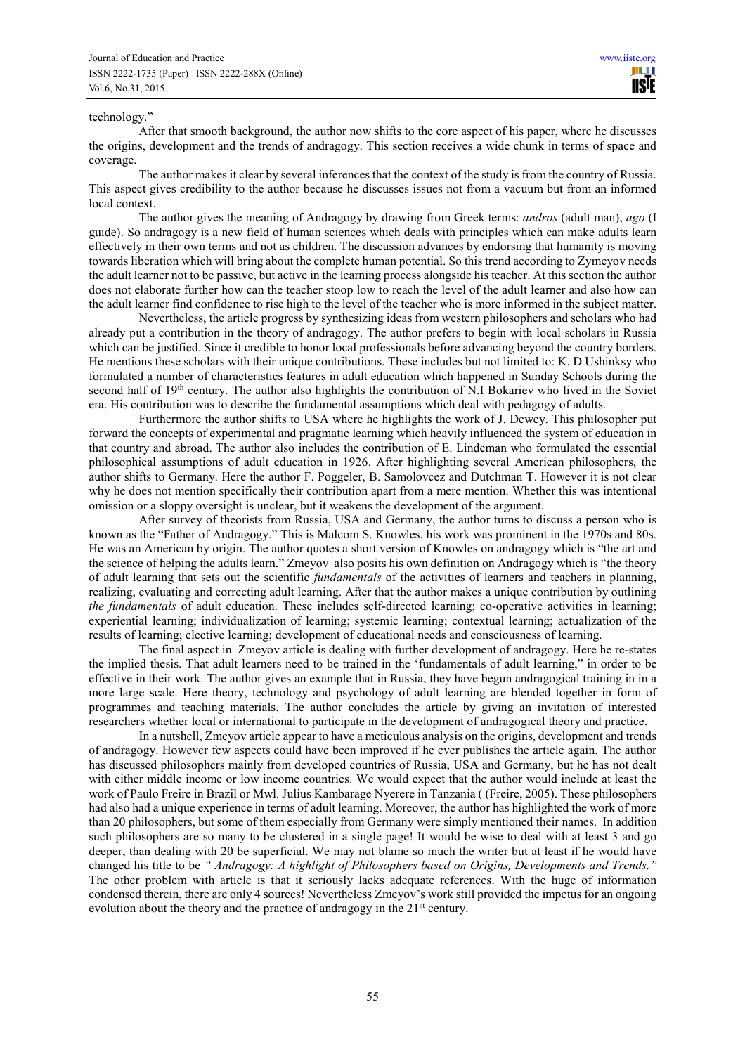#### technology."

After that smooth background, the author now shifts to the core aspect of his paper, where he discusses the origins, development and the trends of andragogy. This section receives a wide chunk in terms of space and coverage.

The author makes it clear by several inferences that the context of the study is from the country of Russia. This aspect gives credibility to the author because he discusses issues not from a vacuum but from an informed local context.

The author gives the meaning of Andragogy by drawing from Greek terms: *andros* (adult man), *ago* (I guide). So andragogy is a new field of human sciences which deals with principles which can make adults learn effectively in their own terms and not as children. The discussion advances by endorsing that humanity is moving towards liberation which will bring about the complete human potential. So this trend according to Zymeyov needs the adult learner not to be passive, but active in the learning process alongside his teacher. At this section the author does not elaborate further how can the teacher stoop low to reach the level of the adult learner and also how can the adult learner find confidence to rise high to the level of the teacher who is more informed in the subject matter.

Nevertheless, the article progress by synthesizing ideas from western philosophers and scholars who had already put a contribution in the theory of andragogy. The author prefers to begin with local scholars in Russia which can be justified. Since it credible to honor local professionals before advancing beyond the country borders. He mentions these scholars with their unique contributions. These includes but not limited to: K. D Ushinksy who formulated a number of characteristics features in adult education which happened in Sunday Schools during the second half of 19<sup>th</sup> century. The author also highlights the contribution of N.I Bokariev who lived in the Soviet era. His contribution was to describe the fundamental assumptions which deal with pedagogy of adults.

Furthermore the author shifts to USA where he highlights the work of J. Dewey. This philosopher put forward the concepts of experimental and pragmatic learning which heavily influenced the system of education in that country and abroad. The author also includes the contribution of E. Lindeman who formulated the essential philosophical assumptions of adult education in 1926. After highlighting several American philosophers, the author shifts to Germany. Here the author F. Poggeler, B. Samolovcez and Dutchman T. However it is not clear why he does not mention specifically their contribution apart from a mere mention. Whether this was intentional omission or a sloppy oversight is unclear, but it weakens the development of the argument.

After survey of theorists from Russia, USA and Germany, the author turns to discuss a person who is known as the "Father of Andragogy." This is Malcom S. Knowles, his work was prominent in the 1970s and 80s. He was an American by origin. The author quotes a short version of Knowles on andragogy which is "the art and the science of helping the adults learn." Zmeyov also posits his own definition on Andragogy which is "the theory of adult learning that sets out the scientific *fundamentals* of the activities of learners and teachers in planning, realizing, evaluating and correcting adult learning. After that the author makes a unique contribution by outlining *the fundamentals* of adult education. These includes self-directed learning; co-operative activities in learning; experiential learning; individualization of learning; systemic learning; contextual learning; actualization of the results of learning; elective learning; development of educational needs and consciousness of learning.

The final aspect in Zmeyov article is dealing with further development of andragogy. Here he re-states the implied thesis. That adult learners need to be trained in the 'fundamentals of adult learning," in order to be effective in their work. The author gives an example that in Russia, they have begun andragogical training in in a more large scale. Here theory, technology and psychology of adult learning are blended together in form of programmes and teaching materials. The author concludes the article by giving an invitation of interested researchers whether local or international to participate in the development of andragogical theory and practice.

In a nutshell, Zmeyov article appear to have a meticulous analysis on the origins, development and trends of andragogy. However few aspects could have been improved if he ever publishes the article again. The author has discussed philosophers mainly from developed countries of Russia, USA and Germany, but he has not dealt with either middle income or low income countries. We would expect that the author would include at least the work of Paulo Freire in Brazil or Mwl. Julius Kambarage Nyerere in Tanzania ( (Freire, 2005). These philosophers had also had a unique experience in terms of adult learning. Moreover, the author has highlighted the work of more than 20 philosophers, but some of them especially from Germany were simply mentioned their names. In addition such philosophers are so many to be clustered in a single page! It would be wise to deal with at least 3 and go deeper, than dealing with 20 be superficial. We may not blame so much the writer but at least if he would have changed his title to be *" Andragogy: A highlight of Philosophers based on Origins, Developments and Trends."* The other problem with article is that it seriously lacks adequate references. With the huge of information condensed therein, there are only 4 sources! Nevertheless Zmeyov's work still provided the impetus for an ongoing evolution about the theory and the practice of andragogy in the 21<sup>st</sup> century.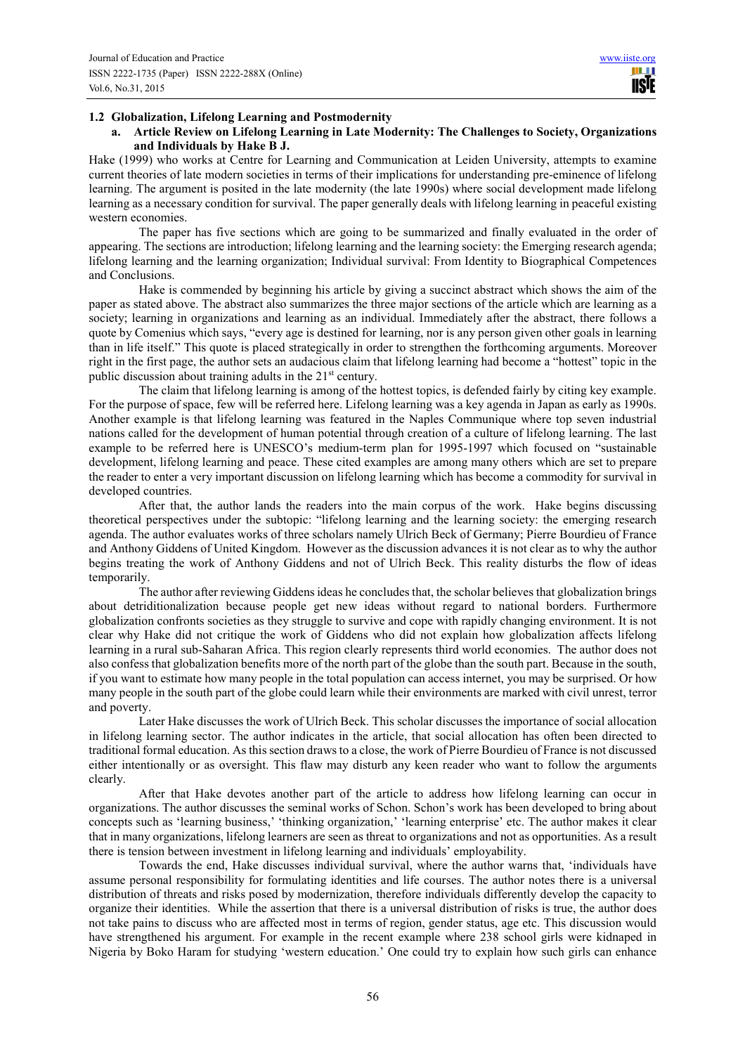m i **IISTE** 

### **1.2 Globalization, Lifelong Learning and Postmodernity**

**a. Article Review on Lifelong Learning in Late Modernity: The Challenges to Society, Organizations and Individuals by Hake B J.** 

Hake (1999) who works at Centre for Learning and Communication at Leiden University, attempts to examine current theories of late modern societies in terms of their implications for understanding pre-eminence of lifelong learning. The argument is posited in the late modernity (the late 1990s) where social development made lifelong learning as a necessary condition for survival. The paper generally deals with lifelong learning in peaceful existing western economies.

The paper has five sections which are going to be summarized and finally evaluated in the order of appearing. The sections are introduction; lifelong learning and the learning society: the Emerging research agenda; lifelong learning and the learning organization; Individual survival: From Identity to Biographical Competences and Conclusions.

Hake is commended by beginning his article by giving a succinct abstract which shows the aim of the paper as stated above. The abstract also summarizes the three major sections of the article which are learning as a society; learning in organizations and learning as an individual. Immediately after the abstract, there follows a quote by Comenius which says, "every age is destined for learning, nor is any person given other goals in learning than in life itself." This quote is placed strategically in order to strengthen the forthcoming arguments. Moreover right in the first page, the author sets an audacious claim that lifelong learning had become a "hottest" topic in the public discussion about training adults in the  $21<sup>st</sup>$  century.

The claim that lifelong learning is among of the hottest topics, is defended fairly by citing key example. For the purpose of space, few will be referred here. Lifelong learning was a key agenda in Japan as early as 1990s. Another example is that lifelong learning was featured in the Naples Communique where top seven industrial nations called for the development of human potential through creation of a culture of lifelong learning. The last example to be referred here is UNESCO's medium-term plan for 1995-1997 which focused on "sustainable development, lifelong learning and peace. These cited examples are among many others which are set to prepare the reader to enter a very important discussion on lifelong learning which has become a commodity for survival in developed countries.

After that, the author lands the readers into the main corpus of the work. Hake begins discussing theoretical perspectives under the subtopic: "lifelong learning and the learning society: the emerging research agenda. The author evaluates works of three scholars namely Ulrich Beck of Germany; Pierre Bourdieu of France and Anthony Giddens of United Kingdom. However as the discussion advances it is not clear as to why the author begins treating the work of Anthony Giddens and not of Ulrich Beck. This reality disturbs the flow of ideas temporarily.

The author after reviewing Giddens ideas he concludes that, the scholar believes that globalization brings about detriditionalization because people get new ideas without regard to national borders. Furthermore globalization confronts societies as they struggle to survive and cope with rapidly changing environment. It is not clear why Hake did not critique the work of Giddens who did not explain how globalization affects lifelong learning in a rural sub-Saharan Africa. This region clearly represents third world economies. The author does not also confess that globalization benefits more of the north part of the globe than the south part. Because in the south, if you want to estimate how many people in the total population can access internet, you may be surprised. Or how many people in the south part of the globe could learn while their environments are marked with civil unrest, terror and poverty.

Later Hake discusses the work of Ulrich Beck. This scholar discusses the importance of social allocation in lifelong learning sector. The author indicates in the article, that social allocation has often been directed to traditional formal education. As this section draws to a close, the work of Pierre Bourdieu of France is not discussed either intentionally or as oversight. This flaw may disturb any keen reader who want to follow the arguments clearly.

After that Hake devotes another part of the article to address how lifelong learning can occur in organizations. The author discusses the seminal works of Schon. Schon's work has been developed to bring about concepts such as 'learning business,' 'thinking organization,' 'learning enterprise' etc. The author makes it clear that in many organizations, lifelong learners are seen as threat to organizations and not as opportunities. As a result there is tension between investment in lifelong learning and individuals' employability.

Towards the end, Hake discusses individual survival, where the author warns that, 'individuals have assume personal responsibility for formulating identities and life courses. The author notes there is a universal distribution of threats and risks posed by modernization, therefore individuals differently develop the capacity to organize their identities. While the assertion that there is a universal distribution of risks is true, the author does not take pains to discuss who are affected most in terms of region, gender status, age etc. This discussion would have strengthened his argument. For example in the recent example where 238 school girls were kidnaped in Nigeria by Boko Haram for studying 'western education.' One could try to explain how such girls can enhance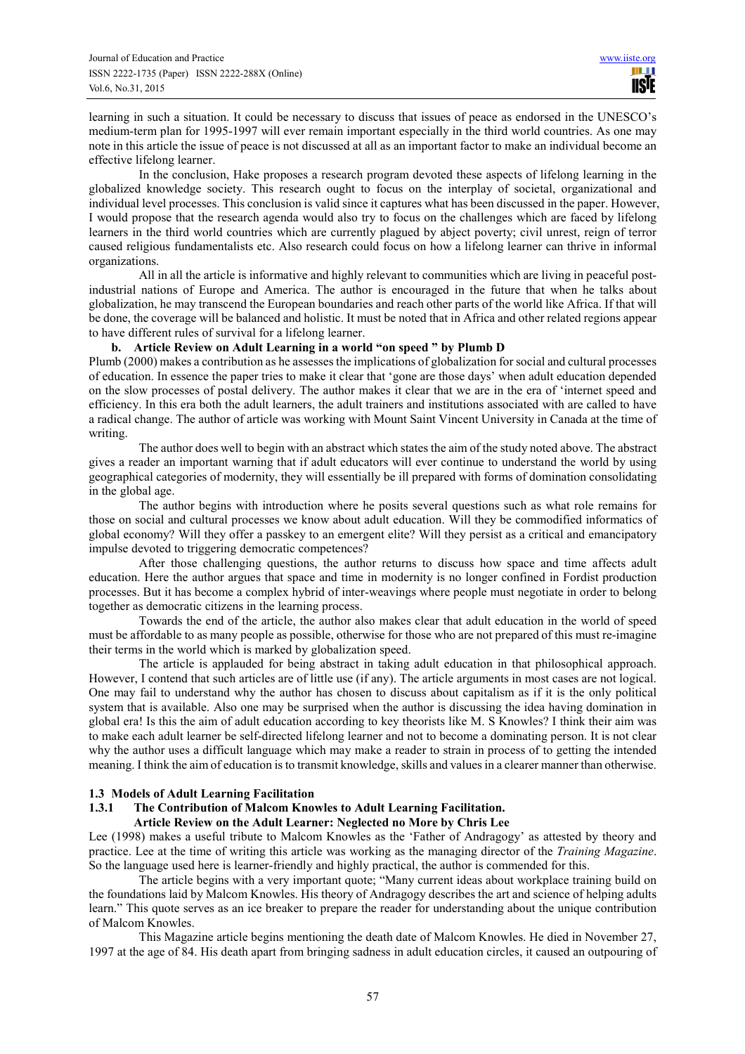learning in such a situation. It could be necessary to discuss that issues of peace as endorsed in the UNESCO's medium-term plan for 1995-1997 will ever remain important especially in the third world countries. As one may note in this article the issue of peace is not discussed at all as an important factor to make an individual become an effective lifelong learner.

In the conclusion, Hake proposes a research program devoted these aspects of lifelong learning in the globalized knowledge society. This research ought to focus on the interplay of societal, organizational and individual level processes. This conclusion is valid since it captures what has been discussed in the paper. However, I would propose that the research agenda would also try to focus on the challenges which are faced by lifelong learners in the third world countries which are currently plagued by abject poverty; civil unrest, reign of terror caused religious fundamentalists etc. Also research could focus on how a lifelong learner can thrive in informal organizations.

All in all the article is informative and highly relevant to communities which are living in peaceful postindustrial nations of Europe and America. The author is encouraged in the future that when he talks about globalization, he may transcend the European boundaries and reach other parts of the world like Africa. If that will be done, the coverage will be balanced and holistic. It must be noted that in Africa and other related regions appear to have different rules of survival for a lifelong learner.

#### **b. Article Review on Adult Learning in a world "on speed " by Plumb D**

Plumb (2000) makes a contribution as he assesses the implications of globalization for social and cultural processes of education. In essence the paper tries to make it clear that 'gone are those days' when adult education depended on the slow processes of postal delivery. The author makes it clear that we are in the era of 'internet speed and efficiency. In this era both the adult learners, the adult trainers and institutions associated with are called to have a radical change. The author of article was working with Mount Saint Vincent University in Canada at the time of writing.

The author does well to begin with an abstract which states the aim of the study noted above. The abstract gives a reader an important warning that if adult educators will ever continue to understand the world by using geographical categories of modernity, they will essentially be ill prepared with forms of domination consolidating in the global age.

The author begins with introduction where he posits several questions such as what role remains for those on social and cultural processes we know about adult education. Will they be commodified informatics of global economy? Will they offer a passkey to an emergent elite? Will they persist as a critical and emancipatory impulse devoted to triggering democratic competences?

After those challenging questions, the author returns to discuss how space and time affects adult education. Here the author argues that space and time in modernity is no longer confined in Fordist production processes. But it has become a complex hybrid of inter-weavings where people must negotiate in order to belong together as democratic citizens in the learning process.

Towards the end of the article, the author also makes clear that adult education in the world of speed must be affordable to as many people as possible, otherwise for those who are not prepared of this must re-imagine their terms in the world which is marked by globalization speed.

The article is applauded for being abstract in taking adult education in that philosophical approach. However, I contend that such articles are of little use (if any). The article arguments in most cases are not logical. One may fail to understand why the author has chosen to discuss about capitalism as if it is the only political system that is available. Also one may be surprised when the author is discussing the idea having domination in global era! Is this the aim of adult education according to key theorists like M. S Knowles? I think their aim was to make each adult learner be self-directed lifelong learner and not to become a dominating person. It is not clear why the author uses a difficult language which may make a reader to strain in process of to getting the intended meaning. I think the aim of education is to transmit knowledge, skills and values in a clearer manner than otherwise.

#### **1.3 Models of Adult Learning Facilitation**

#### **1.3.1 The Contribution of Malcom Knowles to Adult Learning Facilitation.**

**Article Review on the Adult Learner: Neglected no More by Chris Lee** 

Lee (1998) makes a useful tribute to Malcom Knowles as the 'Father of Andragogy' as attested by theory and practice. Lee at the time of writing this article was working as the managing director of the *Training Magazine*. So the language used here is learner-friendly and highly practical, the author is commended for this.

The article begins with a very important quote; "Many current ideas about workplace training build on the foundations laid by Malcom Knowles. His theory of Andragogy describes the art and science of helping adults learn." This quote serves as an ice breaker to prepare the reader for understanding about the unique contribution of Malcom Knowles.

This Magazine article begins mentioning the death date of Malcom Knowles. He died in November 27, 1997 at the age of 84. His death apart from bringing sadness in adult education circles, it caused an outpouring of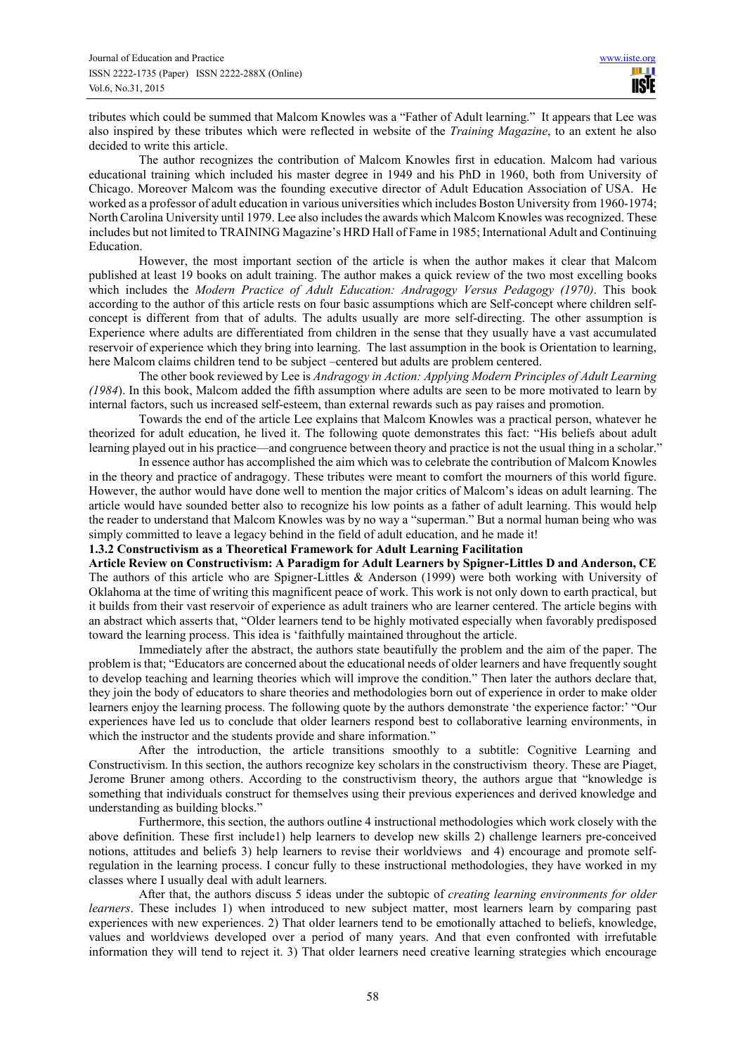tributes which could be summed that Malcom Knowles was a "Father of Adult learning." It appears that Lee was also inspired by these tributes which were reflected in website of the *Training Magazine*, to an extent he also decided to write this article.

The author recognizes the contribution of Malcom Knowles first in education. Malcom had various educational training which included his master degree in 1949 and his PhD in 1960, both from University of Chicago. Moreover Malcom was the founding executive director of Adult Education Association of USA. He worked as a professor of adult education in various universities which includes Boston University from 1960-1974; North Carolina University until 1979. Lee also includes the awards which Malcom Knowles was recognized. These includes but not limited to TRAINING Magazine's HRD Hall of Fame in 1985; International Adult and Continuing Education.

However, the most important section of the article is when the author makes it clear that Malcom published at least 19 books on adult training. The author makes a quick review of the two most excelling books which includes the *Modern Practice of Adult Education: Andragogy Versus Pedagogy (1970)*. This book according to the author of this article rests on four basic assumptions which are Self-concept where children selfconcept is different from that of adults. The adults usually are more self-directing. The other assumption is Experience where adults are differentiated from children in the sense that they usually have a vast accumulated reservoir of experience which they bring into learning. The last assumption in the book is Orientation to learning, here Malcom claims children tend to be subject –centered but adults are problem centered.

The other book reviewed by Lee is *Andragogy in Action: Applying Modern Principles of Adult Learning (1984*). In this book, Malcom added the fifth assumption where adults are seen to be more motivated to learn by internal factors, such us increased self-esteem, than external rewards such as pay raises and promotion.

Towards the end of the article Lee explains that Malcom Knowles was a practical person, whatever he theorized for adult education, he lived it. The following quote demonstrates this fact: "His beliefs about adult learning played out in his practice—and congruence between theory and practice is not the usual thing in a scholar."

In essence author has accomplished the aim which was to celebrate the contribution of Malcom Knowles in the theory and practice of andragogy. These tributes were meant to comfort the mourners of this world figure. However, the author would have done well to mention the major critics of Malcom's ideas on adult learning. The article would have sounded better also to recognize his low points as a father of adult learning. This would help the reader to understand that Malcom Knowles was by no way a "superman." But a normal human being who was simply committed to leave a legacy behind in the field of adult education, and he made it!

**1.3.2 Constructivism as a Theoretical Framework for Adult Learning Facilitation** 

**Article Review on Constructivism: A Paradigm for Adult Learners by Spigner-Littles D and Anderson, CE**  The authors of this article who are Spigner-Littles & Anderson (1999) were both working with University of Oklahoma at the time of writing this magnificent peace of work. This work is not only down to earth practical, but it builds from their vast reservoir of experience as adult trainers who are learner centered. The article begins with an abstract which asserts that, "Older learners tend to be highly motivated especially when favorably predisposed toward the learning process. This idea is 'faithfully maintained throughout the article.

Immediately after the abstract, the authors state beautifully the problem and the aim of the paper. The problem is that; "Educators are concerned about the educational needs of older learners and have frequently sought to develop teaching and learning theories which will improve the condition." Then later the authors declare that, they join the body of educators to share theories and methodologies born out of experience in order to make older learners enjoy the learning process. The following quote by the authors demonstrate 'the experience factor:' "Our experiences have led us to conclude that older learners respond best to collaborative learning environments, in which the instructor and the students provide and share information."

After the introduction, the article transitions smoothly to a subtitle: Cognitive Learning and Constructivism. In this section, the authors recognize key scholars in the constructivism theory. These are Piaget, Jerome Bruner among others. According to the constructivism theory, the authors argue that "knowledge is something that individuals construct for themselves using their previous experiences and derived knowledge and understanding as building blocks."

Furthermore, this section, the authors outline 4 instructional methodologies which work closely with the above definition. These first include1) help learners to develop new skills 2) challenge learners pre-conceived notions, attitudes and beliefs 3) help learners to revise their worldviews and 4) encourage and promote selfregulation in the learning process. I concur fully to these instructional methodologies, they have worked in my classes where I usually deal with adult learners.

After that, the authors discuss 5 ideas under the subtopic of *creating learning environments for older learners*. These includes 1) when introduced to new subject matter, most learners learn by comparing past experiences with new experiences. 2) That older learners tend to be emotionally attached to beliefs, knowledge, values and worldviews developed over a period of many years. And that even confronted with irrefutable information they will tend to reject it. 3) That older learners need creative learning strategies which encourage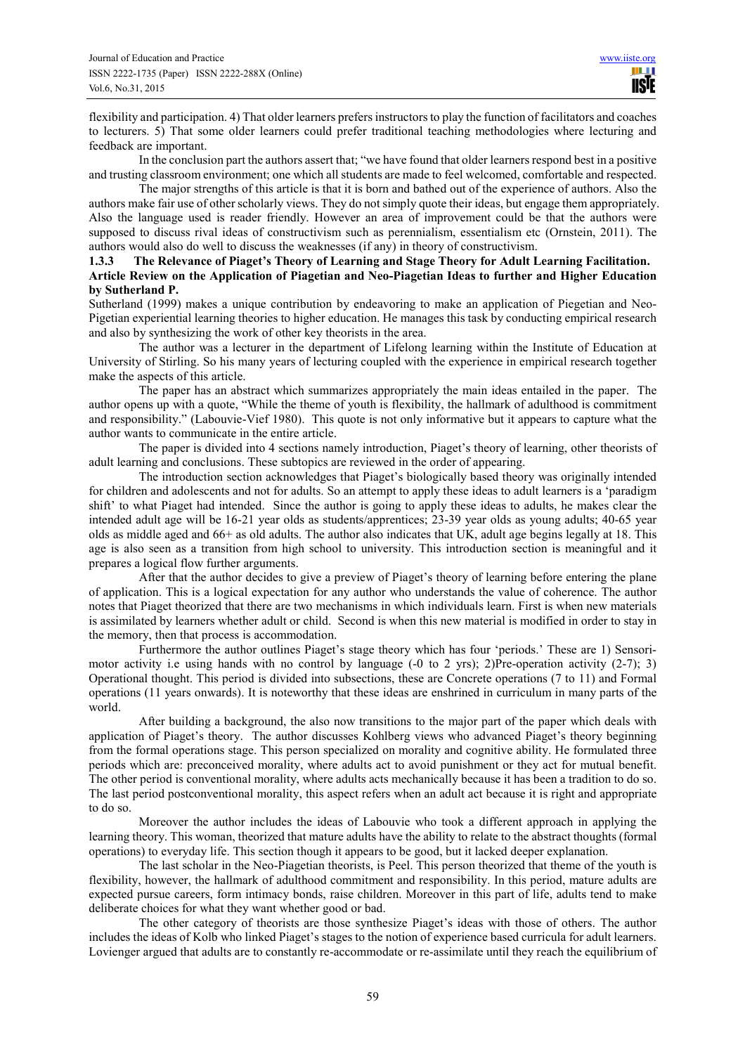flexibility and participation. 4) That older learners prefers instructors to play the function of facilitators and coaches to lecturers. 5) That some older learners could prefer traditional teaching methodologies where lecturing and feedback are important.

In the conclusion part the authors assert that; "we have found that older learners respond best in a positive and trusting classroom environment; one which all students are made to feel welcomed, comfortable and respected.

The major strengths of this article is that it is born and bathed out of the experience of authors. Also the authors make fair use of other scholarly views. They do not simply quote their ideas, but engage them appropriately. Also the language used is reader friendly. However an area of improvement could be that the authors were supposed to discuss rival ideas of constructivism such as perennialism, essentialism etc (Ornstein, 2011). The authors would also do well to discuss the weaknesses (if any) in theory of constructivism.

## **1.3.3 The Relevance of Piaget's Theory of Learning and Stage Theory for Adult Learning Facilitation. Article Review on the Application of Piagetian and Neo-Piagetian Ideas to further and Higher Education by Sutherland P.**

Sutherland (1999) makes a unique contribution by endeavoring to make an application of Piegetian and Neo-Pigetian experiential learning theories to higher education. He manages this task by conducting empirical research and also by synthesizing the work of other key theorists in the area.

The author was a lecturer in the department of Lifelong learning within the Institute of Education at University of Stirling. So his many years of lecturing coupled with the experience in empirical research together make the aspects of this article.

The paper has an abstract which summarizes appropriately the main ideas entailed in the paper. The author opens up with a quote, "While the theme of youth is flexibility, the hallmark of adulthood is commitment and responsibility." (Labouvie-Vief 1980). This quote is not only informative but it appears to capture what the author wants to communicate in the entire article.

The paper is divided into 4 sections namely introduction, Piaget's theory of learning, other theorists of adult learning and conclusions. These subtopics are reviewed in the order of appearing.

The introduction section acknowledges that Piaget's biologically based theory was originally intended for children and adolescents and not for adults. So an attempt to apply these ideas to adult learners is a 'paradigm shift' to what Piaget had intended. Since the author is going to apply these ideas to adults, he makes clear the intended adult age will be 16-21 year olds as students/apprentices; 23-39 year olds as young adults; 40-65 year olds as middle aged and 66+ as old adults. The author also indicates that UK, adult age begins legally at 18. This age is also seen as a transition from high school to university. This introduction section is meaningful and it prepares a logical flow further arguments.

After that the author decides to give a preview of Piaget's theory of learning before entering the plane of application. This is a logical expectation for any author who understands the value of coherence. The author notes that Piaget theorized that there are two mechanisms in which individuals learn. First is when new materials is assimilated by learners whether adult or child. Second is when this new material is modified in order to stay in the memory, then that process is accommodation.

Furthermore the author outlines Piaget's stage theory which has four 'periods.' These are 1) Sensorimotor activity i.e using hands with no control by language (-0 to 2 yrs); 2)Pre-operation activity (2-7); 3) Operational thought. This period is divided into subsections, these are Concrete operations (7 to 11) and Formal operations (11 years onwards). It is noteworthy that these ideas are enshrined in curriculum in many parts of the world.

After building a background, the also now transitions to the major part of the paper which deals with application of Piaget's theory. The author discusses Kohlberg views who advanced Piaget's theory beginning from the formal operations stage. This person specialized on morality and cognitive ability. He formulated three periods which are: preconceived morality, where adults act to avoid punishment or they act for mutual benefit. The other period is conventional morality, where adults acts mechanically because it has been a tradition to do so. The last period postconventional morality, this aspect refers when an adult act because it is right and appropriate to do so.

Moreover the author includes the ideas of Labouvie who took a different approach in applying the learning theory. This woman, theorized that mature adults have the ability to relate to the abstract thoughts (formal operations) to everyday life. This section though it appears to be good, but it lacked deeper explanation.

The last scholar in the Neo-Piagetian theorists, is Peel. This person theorized that theme of the youth is flexibility, however, the hallmark of adulthood commitment and responsibility. In this period, mature adults are expected pursue careers, form intimacy bonds, raise children. Moreover in this part of life, adults tend to make deliberate choices for what they want whether good or bad.

The other category of theorists are those synthesize Piaget's ideas with those of others. The author includes the ideas of Kolb who linked Piaget's stages to the notion of experience based curricula for adult learners. Lovienger argued that adults are to constantly re-accommodate or re-assimilate until they reach the equilibrium of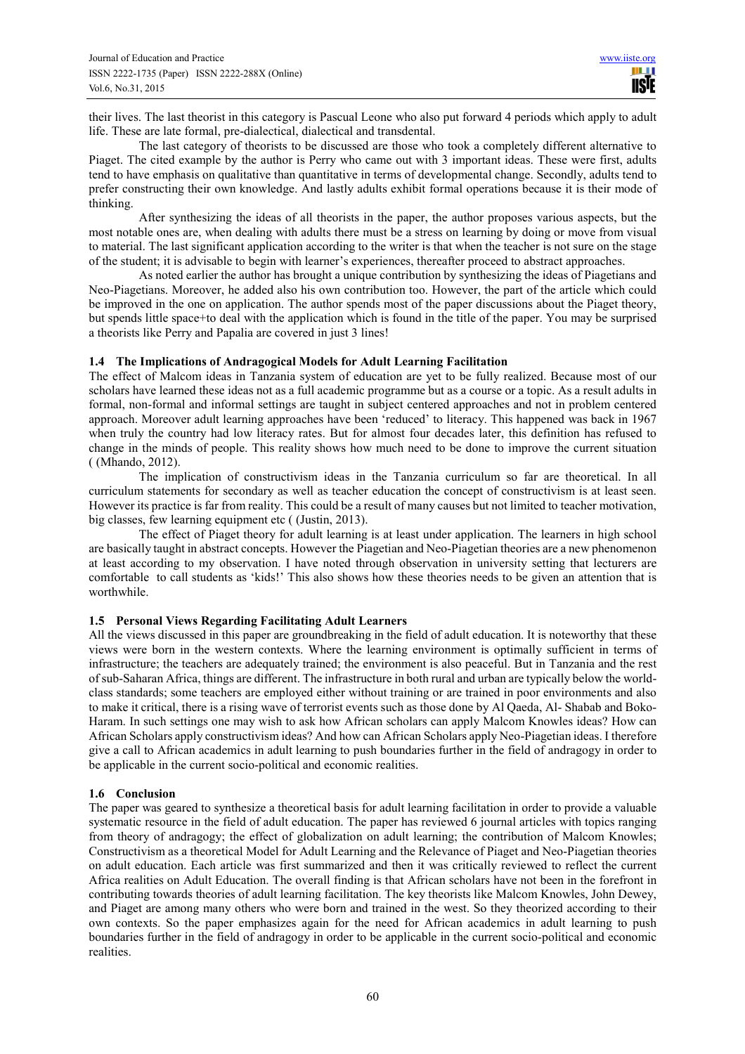their lives. The last theorist in this category is Pascual Leone who also put forward 4 periods which apply to adult life. These are late formal, pre-dialectical, dialectical and transdental.

The last category of theorists to be discussed are those who took a completely different alternative to Piaget. The cited example by the author is Perry who came out with 3 important ideas. These were first, adults tend to have emphasis on qualitative than quantitative in terms of developmental change. Secondly, adults tend to prefer constructing their own knowledge. And lastly adults exhibit formal operations because it is their mode of thinking.

After synthesizing the ideas of all theorists in the paper, the author proposes various aspects, but the most notable ones are, when dealing with adults there must be a stress on learning by doing or move from visual to material. The last significant application according to the writer is that when the teacher is not sure on the stage of the student; it is advisable to begin with learner's experiences, thereafter proceed to abstract approaches.

As noted earlier the author has brought a unique contribution by synthesizing the ideas of Piagetians and Neo-Piagetians. Moreover, he added also his own contribution too. However, the part of the article which could be improved in the one on application. The author spends most of the paper discussions about the Piaget theory, but spends little space+to deal with the application which is found in the title of the paper. You may be surprised a theorists like Perry and Papalia are covered in just 3 lines!

# **1.4 The Implications of Andragogical Models for Adult Learning Facilitation**

The effect of Malcom ideas in Tanzania system of education are yet to be fully realized. Because most of our scholars have learned these ideas not as a full academic programme but as a course or a topic. As a result adults in formal, non-formal and informal settings are taught in subject centered approaches and not in problem centered approach. Moreover adult learning approaches have been 'reduced' to literacy. This happened was back in 1967 when truly the country had low literacy rates. But for almost four decades later, this definition has refused to change in the minds of people. This reality shows how much need to be done to improve the current situation ( (Mhando, 2012).

The implication of constructivism ideas in the Tanzania curriculum so far are theoretical. In all curriculum statements for secondary as well as teacher education the concept of constructivism is at least seen. However its practice is far from reality. This could be a result of many causes but not limited to teacher motivation, big classes, few learning equipment etc ( (Justin, 2013).

The effect of Piaget theory for adult learning is at least under application. The learners in high school are basically taught in abstract concepts. However the Piagetian and Neo-Piagetian theories are a new phenomenon at least according to my observation. I have noted through observation in university setting that lecturers are comfortable to call students as 'kids!' This also shows how these theories needs to be given an attention that is worthwhile.

# **1.5 Personal Views Regarding Facilitating Adult Learners**

All the views discussed in this paper are groundbreaking in the field of adult education. It is noteworthy that these views were born in the western contexts. Where the learning environment is optimally sufficient in terms of infrastructure; the teachers are adequately trained; the environment is also peaceful. But in Tanzania and the rest of sub-Saharan Africa, things are different. The infrastructure in both rural and urban are typically below the worldclass standards; some teachers are employed either without training or are trained in poor environments and also to make it critical, there is a rising wave of terrorist events such as those done by Al Qaeda, Al- Shabab and Boko-Haram. In such settings one may wish to ask how African scholars can apply Malcom Knowles ideas? How can African Scholars apply constructivism ideas? And how can African Scholars apply Neo-Piagetian ideas. I therefore give a call to African academics in adult learning to push boundaries further in the field of andragogy in order to be applicable in the current socio-political and economic realities.

#### **1.6 Conclusion**

The paper was geared to synthesize a theoretical basis for adult learning facilitation in order to provide a valuable systematic resource in the field of adult education. The paper has reviewed 6 journal articles with topics ranging from theory of andragogy; the effect of globalization on adult learning; the contribution of Malcom Knowles; Constructivism as a theoretical Model for Adult Learning and the Relevance of Piaget and Neo-Piagetian theories on adult education. Each article was first summarized and then it was critically reviewed to reflect the current Africa realities on Adult Education. The overall finding is that African scholars have not been in the forefront in contributing towards theories of adult learning facilitation. The key theorists like Malcom Knowles, John Dewey, and Piaget are among many others who were born and trained in the west. So they theorized according to their own contexts. So the paper emphasizes again for the need for African academics in adult learning to push boundaries further in the field of andragogy in order to be applicable in the current socio-political and economic realities.